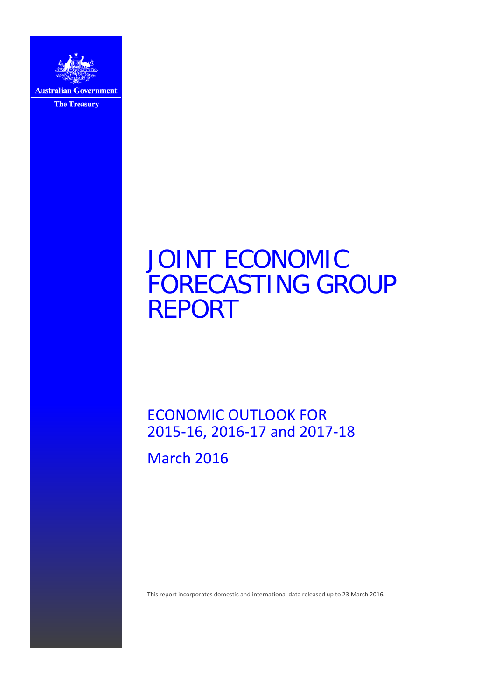

JOINT ECONOMIC FORECASTING GROUP REPORT

ECONOMIC OUTLOOK FOR 2015-16, 2016-17 and 2017-18

March 2016

This report incorporates domestic and international data released up to 23 March 2016.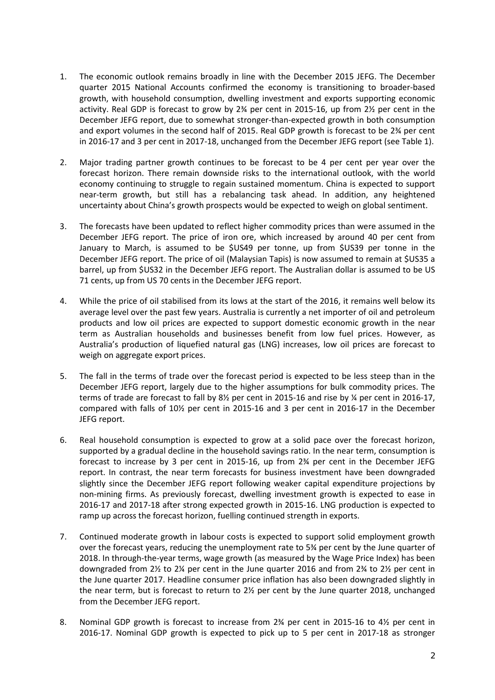- 1. The economic outlook remains broadly in line with the December 2015 JEFG. The December quarter 2015 National Accounts confirmed the economy is transitioning to broader-based growth, with household consumption, dwelling investment and exports supporting economic activity. Real GDP is forecast to grow by  $2\frac{3}{4}$  per cent in 2015-16, up from  $2\frac{1}{2}$  per cent in the December JEFG report, due to somewhat stronger-than-expected growth in both consumption and export volumes in the second half of 2015. Real GDP growth is forecast to be 2¾ per cent in 2016-17 and 3 per cent in 2017-18, unchanged from the December JEFG report (see Table 1).
- 2. Major trading partner growth continues to be forecast to be 4 per cent per year over the forecast horizon. There remain downside risks to the international outlook, with the world economy continuing to struggle to regain sustained momentum. China is expected to support near-term growth, but still has a rebalancing task ahead. In addition, any heightened uncertainty about China's growth prospects would be expected to weigh on global sentiment.
- 3. The forecasts have been updated to reflect higher commodity prices than were assumed in the December JEFG report. The price of iron ore, which increased by around 40 per cent from January to March, is assumed to be \$US49 per tonne, up from \$US39 per tonne in the December JEFG report. The price of oil (Malaysian Tapis) is now assumed to remain at \$US35 a barrel, up from \$US32 in the December JEFG report. The Australian dollar is assumed to be US 71 cents, up from US 70 cents in the December JEFG report.
- 4. While the price of oil stabilised from its lows at the start of the 2016, it remains well below its average level over the past few years. Australia is currently a net importer of oil and petroleum products and low oil prices are expected to support domestic economic growth in the near term as Australian households and businesses benefit from low fuel prices. However, as Australia's production of liquefied natural gas (LNG) increases, low oil prices are forecast to weigh on aggregate export prices.
- 5. The fall in the terms of trade over the forecast period is expected to be less steep than in the December JEFG report, largely due to the higher assumptions for bulk commodity prices. The terms of trade are forecast to fall by 8½ per cent in 2015-16 and rise by ¼ per cent in 2016-17, compared with falls of 10½ per cent in 2015-16 and 3 per cent in 2016-17 in the December JEFG report.
- 6. Real household consumption is expected to grow at a solid pace over the forecast horizon, supported by a gradual decline in the household savings ratio. In the near term, consumption is forecast to increase by 3 per cent in 2015-16, up from 2¾ per cent in the December JEFG report. In contrast, the near term forecasts for business investment have been downgraded slightly since the December JEFG report following weaker capital expenditure projections by non-mining firms. As previously forecast, dwelling investment growth is expected to ease in 2016-17 and 2017-18 after strong expected growth in 2015-16. LNG production is expected to ramp up across the forecast horizon, fuelling continued strength in exports.
- 7. Continued moderate growth in labour costs is expected to support solid employment growth over the forecast years, reducing the unemployment rate to 5¾ per cent by the June quarter of 2018. In through-the-year terms, wage growth (as measured by the Wage Price Index) has been downgraded from 2½ to 2¼ per cent in the June quarter 2016 and from 2¾ to 2½ per cent in the June quarter 2017. Headline consumer price inflation has also been downgraded slightly in the near term, but is forecast to return to 2½ per cent by the June quarter 2018, unchanged from the December JEFG report.
- 8. Nominal GDP growth is forecast to increase from 2<sup>3</sup>/4 per cent in 2015-16 to 4<sup>1/2</sup> per cent in 2016-17. Nominal GDP growth is expected to pick up to 5 per cent in 2017-18 as stronger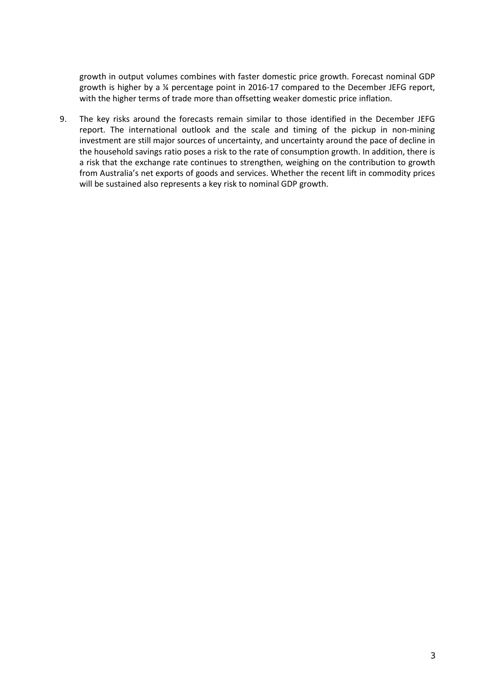growth in output volumes combines with faster domestic price growth. Forecast nominal GDP growth is higher by a ¼ percentage point in 2016-17 compared to the December JEFG report, with the higher terms of trade more than offsetting weaker domestic price inflation.

9. The key risks around the forecasts remain similar to those identified in the December JEFG report. The international outlook and the scale and timing of the pickup in non-mining investment are still major sources of uncertainty, and uncertainty around the pace of decline in the household savings ratio poses a risk to the rate of consumption growth. In addition, there is a risk that the exchange rate continues to strengthen, weighing on the contribution to growth from Australia's net exports of goods and services. Whether the recent lift in commodity prices will be sustained also represents a key risk to nominal GDP growth.